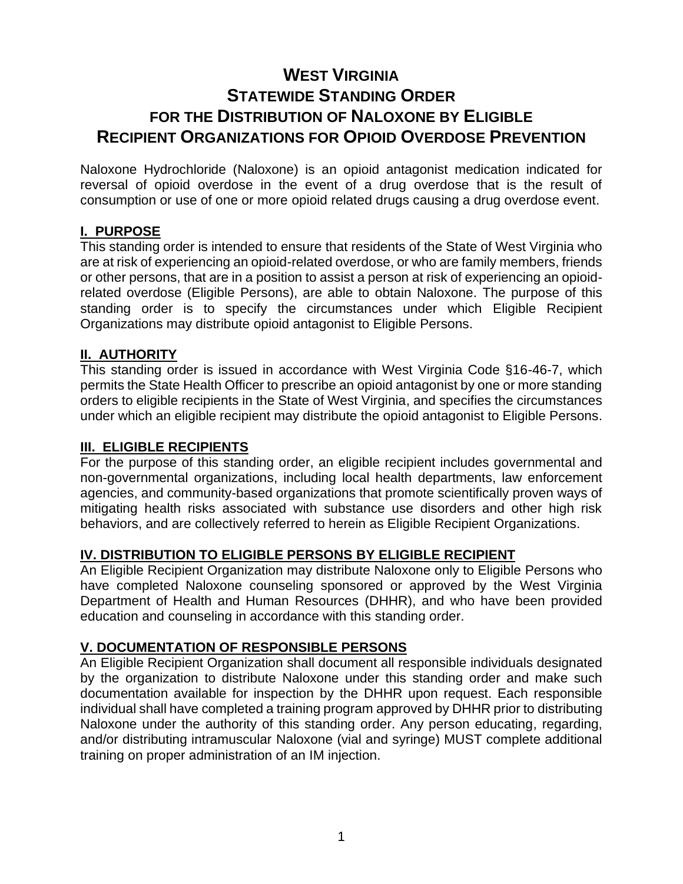# **WEST VIRGINIA STATEWIDE STANDING ORDER FOR THE DISTRIBUTION OF NALOXONE BY ELIGIBLE RECIPIENT ORGANIZATIONS FOR OPIOID OVERDOSE PREVENTION**

Naloxone Hydrochloride (Naloxone) is an opioid antagonist medication indicated for reversal of opioid overdose in the event of a drug overdose that is the result of consumption or use of one or more opioid related drugs causing a drug overdose event.

# **I. PURPOSE**

This standing order is intended to ensure that residents of the State of West Virginia who are at risk of experiencing an opioid-related overdose, or who are family members, friends or other persons, that are in a position to assist a person at risk of experiencing an opioidrelated overdose (Eligible Persons), are able to obtain Naloxone. The purpose of this standing order is to specify the circumstances under which Eligible Recipient Organizations may distribute opioid antagonist to Eligible Persons.

### **II. AUTHORITY**

This standing order is issued in accordance with West Virginia Code §16-46-7, which permits the State Health Officer to prescribe an opioid antagonist by one or more standing orders to eligible recipients in the State of West Virginia, and specifies the circumstances under which an eligible recipient may distribute the opioid antagonist to Eligible Persons.

### **III. ELIGIBLE RECIPIENTS**

For the purpose of this standing order, an eligible recipient includes governmental and non-governmental organizations, including local health departments, law enforcement agencies, and community-based organizations that promote scientifically proven ways of mitigating health risks associated with substance use disorders and other high risk behaviors, and are collectively referred to herein as Eligible Recipient Organizations.

# **IV. DISTRIBUTION TO ELIGIBLE PERSONS BY ELIGIBLE RECIPIENT**

An Eligible Recipient Organization may distribute Naloxone only to Eligible Persons who have completed Naloxone counseling sponsored or approved by the West Virginia Department of Health and Human Resources (DHHR), and who have been provided education and counseling in accordance with this standing order.

#### **V. DOCUMENTATION OF RESPONSIBLE PERSONS**

An Eligible Recipient Organization shall document all responsible individuals designated by the organization to distribute Naloxone under this standing order and make such documentation available for inspection by the DHHR upon request. Each responsible individual shall have completed a training program approved by DHHR prior to distributing Naloxone under the authority of this standing order. Any person educating, regarding, and/or distributing intramuscular Naloxone (vial and syringe) MUST complete additional training on proper administration of an IM injection.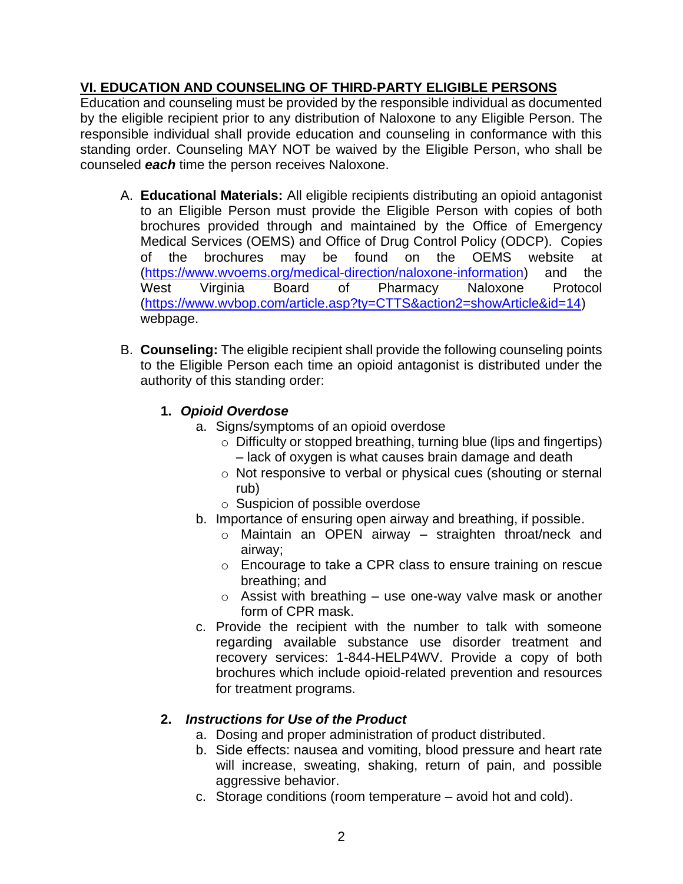# **VI. EDUCATION AND COUNSELING OF THIRD-PARTY ELIGIBLE PERSONS**

Education and counseling must be provided by the responsible individual as documented by the eligible recipient prior to any distribution of Naloxone to any Eligible Person. The responsible individual shall provide education and counseling in conformance with this standing order. Counseling MAY NOT be waived by the Eligible Person, who shall be counseled *each* time the person receives Naloxone.

- A. **Educational Materials:** All eligible recipients distributing an opioid antagonist to an Eligible Person must provide the Eligible Person with copies of both brochures provided through and maintained by the Office of Emergency Medical Services (OEMS) and Office of Drug Control Policy (ODCP). Copies of the brochures may be found on the OEMS website at [\(https://www.wvoems.org/medical-direction/naloxone-information\)](https://www.wvoems.org/medical-direction/naloxone-information) and the West Virginia Board of Pharmacy Naloxone Protocol [\(https://www.wvbop.com/article.asp?ty=CTTS&action2=showArticle&id=14\)](https://www.wvbop.com/article.asp?ty=CTTS&action2=showArticle&id=14) webpage.
- B. **Counseling:** The eligible recipient shall provide the following counseling points to the Eligible Person each time an opioid antagonist is distributed under the authority of this standing order:

# **1.** *Opioid Overdose*

- a. Signs/symptoms of an opioid overdose
	- o Difficulty or stopped breathing, turning blue (lips and fingertips) – lack of oxygen is what causes brain damage and death
	- o Not responsive to verbal or physical cues (shouting or sternal rub)
	- o Suspicion of possible overdose
- b. Importance of ensuring open airway and breathing, if possible.
	- o Maintain an OPEN airway straighten throat/neck and airway;
	- o Encourage to take a CPR class to ensure training on rescue breathing; and
	- $\circ$  Assist with breathing use one-way valve mask or another form of CPR mask.
- c. Provide the recipient with the number to talk with someone regarding available substance use disorder treatment and recovery services: 1-844-HELP4WV. Provide a copy of both brochures which include opioid-related prevention and resources for treatment programs.

# **2.** *Instructions for Use of the Product*

- a. Dosing and proper administration of product distributed.
- b. Side effects: nausea and vomiting, blood pressure and heart rate will increase, sweating, shaking, return of pain, and possible aggressive behavior.
- c. Storage conditions (room temperature avoid hot and cold).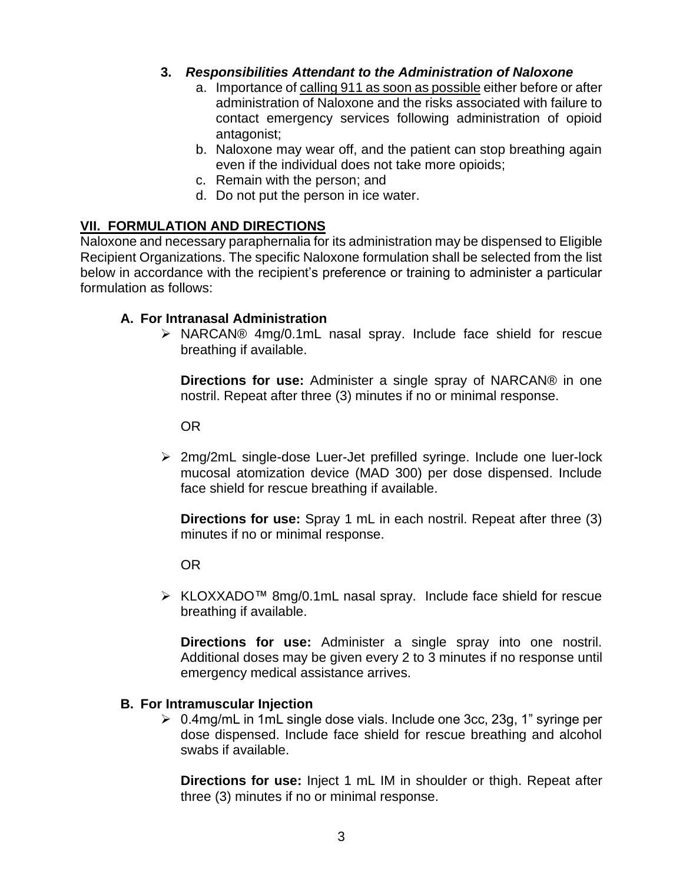### **3.** *Responsibilities Attendant to the Administration of Naloxone*

- a. Importance of calling 911 as soon as possible either before or after administration of Naloxone and the risks associated with failure to contact emergency services following administration of opioid antagonist;
- b. Naloxone may wear off, and the patient can stop breathing again even if the individual does not take more opioids;
- c. Remain with the person; and
- d. Do not put the person in ice water.

# **VII. FORMULATION AND DIRECTIONS**

Naloxone and necessary paraphernalia for its administration may be dispensed to Eligible Recipient Organizations. The specific Naloxone formulation shall be selected from the list below in accordance with the recipient's preference or training to administer a particular formulation as follows:

### **A. For Intranasal Administration**

➢ NARCAN® 4mg/0.1mL nasal spray. Include face shield for rescue breathing if available.

**Directions for use:** Administer a single spray of NARCAN® in one nostril. Repeat after three (3) minutes if no or minimal response.

OR

➢ 2mg/2mL single-dose Luer-Jet prefilled syringe. Include one luer-lock mucosal atomization device (MAD 300) per dose dispensed. Include face shield for rescue breathing if available.

**Directions for use:** Spray 1 mL in each nostril. Repeat after three (3) minutes if no or minimal response.

OR

➢ KLOXXADO™ 8mg/0.1mL nasal spray. Include face shield for rescue breathing if available.

**Directions for use:** Administer a single spray into one nostril. Additional doses may be given every 2 to 3 minutes if no response until emergency medical assistance arrives.

# **B. For Intramuscular Injection**

➢ 0.4mg/mL in 1mL single dose vials. Include one 3cc, 23g, 1" syringe per dose dispensed. Include face shield for rescue breathing and alcohol swabs if available.

**Directions for use:** Inject 1 mL IM in shoulder or thigh. Repeat after three (3) minutes if no or minimal response.